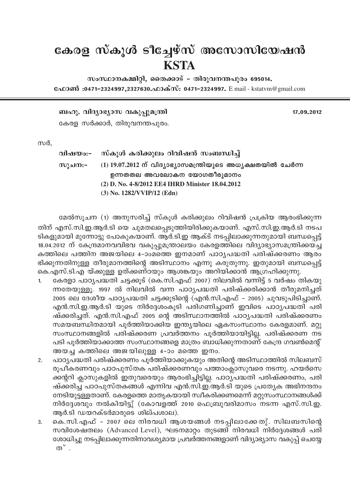## കേരള സ്കൂൾ ടീച്ചേഴ്സ് അസോസിയേഷൻ **KSTA**

 $m$ ംസ്ഥാനകമ്മിറ്റി, തൈക്കാട് – തിരുവനന്തപുരം 695014. வேறஸ் :0471-2324997,2327630. வக்ஸ்: 0471-2324997. E mail - kstatvm@gmail.com

\_lp. hnZym-`ymk hIp-¸p-a{´n 17.09.2012

കേരള സർക്കാർ, തിരുവനന്തപുരം.

സർ.

വിഷയം:- സ്കൂൾ കരിക്കുലം റിവിഷൻ സംബന്ധിച്ച് സുചന:– (1) 19.07.2012 ന് വിദ്യാഭ്യാസമന്ത്രിയുടെ അധ്യക്ഷതയിൽ ചേർന്ന ഉന്നതതല അവലോകന യോഗതീരുമാനം **(2) D. No. 4-8/2012 EE4 IHRD Minister 18.04.2012 (3) No. 1282/VVIP/12 (Edn)**

മേൽസൂചന (1) അനുസരിച്ച് സ്കൂൾ കരിക്കുലം റിവിഷൻ പ്രക്രിയ ആരംഭിക്കുന്ന തിന് എസ്.സി.ഇ.ആർ.ടി യെ ചുമതലപ്പെടുത്തിയിരിക്കുകയാണ്. എസ്.സി.ഇ.ആർ.ടി നടപ ടികളുമായി മുന്നോട്ടു പോകുകയാണ്. ആർ.ടി.ഇ ആക്ട് നടപ്പിലാക്കുന്നതുമായി ബന്ധപ്പെട്ട് 18.04.2012 ന് കേന്ദ്രമാനവവിഭവ വകുപ്പുമന്ത്രാലയം കേരളത്തിലെ വിദ്യാഭ്യാസമന്ത്രിക്കയച്ച കത്തിലെ പത്തിന അജയിലെ 4–ാംമത്തെ ഇനമാണ് പാഠ്യപദ്ധതി പരിഷ്ക്കരണം ആരം ഭിക്കുന്നതിനുള്ള തീരുമാനത്തിന്റെ അടിസ്ഥാനം എന്നു കരുതുന്നു. ഇതുമായി ബന്ധപ്പെട്ട് കെ.എസ്.ടി.എ യ്ക്കുള്ള ഉത്ക്കണ്ഠയും ആശങ്കയും അറിയിക്കാൻ ആഗ്രഹിക്കുന്നു.

- 1. കേരളാ പാഠ്യപദ്ധതി ചട്ടക്കൂട് (കെ.സി.എഫ് 2007) നിലവിൽ വന്നിട്ട് 5 വർഷം തികയു ന്നതേയുള്ളൂ. 1997 ൽ നിലവിൽ വന്ന പാഠൃപദ്ധതി പരിഷ്ക്കരിക്കാൻ തീരുമനിച്ചത് 2005 ലെ ദേശീയ പാഠ്യപദ്ധതി ചട്ടക്കൂടിന്റെ (എൻ.സി.എഫ് - 2005) ചുവടുപിടിച്ചാണ്. എൻ.സി.ഇ.ആർ.ടി യുടെ നിർദ്ദേശംകൂടി പരിഗണിച്ചാണ് ഇവിടെ പാഠ്യപദ്ധതി പരി ഷ്ക്കരിച്ചത്. എൻ.സി.എഫ് 2005 ന്റെ അടിസ്ഥാനത്തിൽ പാഠ്യപദ്ധതി പരിഷ്ക്കരണം സമയബന്ധിതമായി പൂർത്തിയാക്കിയ ഇന്ത്യയിലെ ഏകസംസ്ഥാനം കേരളമാണ്. മറ്റു സംസ്ഥാനങ്ങളിൽ പരിഷ്ക്കരണ പ്രവർത്തനം പൂർത്തിയായിട്ടില്ല. പരിഷ്ക്കരണ നട പടി പൂർത്തിയാക്കാത്ത സംസ്ഥാനങ്ങളെ മാത്രം ബാധിക്കുന്നതാണ് കേന്ദ്ര ഗവൺമെന്റ് അയച്ച കത്തിലെ അജയിലുള്ള  $4-3$ ം മത്തെ ഇനം.
- 2. പാഠ്യപദ്ധതി പരിഷ്ക്കരണം പൂർത്തിയാക്കുകയും അതിന്റെ അടിസ്ഥാത്തിൽ സിലബസ് രൂപീകരണവും പാഠപുസ്തക പരിഷ്ക്കരണവും പത്താംക്ലാസുവരെ നടന്നു. ഹയർസെ ക്കന്ററി ക്ലാസുകളിൽ ഇതുവരെയും ആരംഭിച്ചിട്ടില്ല. പാഠ്യപദ്ധതി പരിഷ്ക്കരണം, പരി ഷ്ക്കരിച്ച പാഠപുസ്തകങ്ങൾ എന്നിവ എൻ.സി.ഇ.ആർ.ടി യുടെ പ്രത്യേക അഭിനന്ദനം നേടിയുട്ടള്ളതാണ്. കേരളത്തെ മാതൃകയായി സ്വീകരിക്കണമെന്ന് മറ്റുസംസ്ഥാനങ്ങൾക്ക് നിർദ്ദേശവും നൽകിയിട്ടു് (കോവളത്ത് 2010 ഫെബ്രുവരിമാസം നടന്ന എസ്.സി.ഇ. ആർ.ടി ഡയറക്ടർമാരുടെ ശില്പശാല).
- 3. കെ.സി.എഫ് 2007 ലെ നിരവധി ആശയങ്ങൾ നടപ്പിലാക്കേതു്. സിലബസിന്റെ സവിശേഷതലം (Advanced Level), ഘടനമാറ്റം തുടങ്ങി നിരവധി നിർദ്ദേശങ്ങൾ പരി ശോധിച്ചു നടപ്പിലാക്കുന്നതിനാവശ്യമായ പ്രവർത്തനങ്ങളാണ് വിദ്യാഭ്യാസ വകുപ്പ് ചെയ്യേ  $\infty$   $\sim$